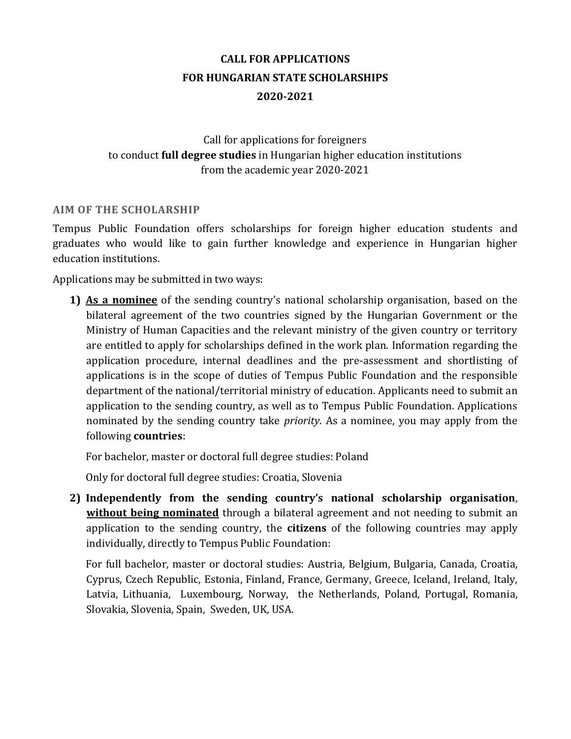# **CALL FOR APPLICATIONS FOR HUNGARIAN STATE SCHOLARSHIPS 2020-2021**

## Call for applications for foreigners to conduct **full degree studies** in Hungarian higher education institutions from the academic year 2020-2021

#### **AIM OF THE SCHOLARSHIP**

Tempus Public Foundation offers scholarships for foreign higher education students and graduates who would like to gain further knowledge and experience in Hungarian higher education institutions.

Applications may be submitted in two ways:

**1) As a nominee** of the sending country's national scholarship organisation, based on the bilateral agreement of the two countries signed by the Hungarian Government or the Ministry of Human Capacities and the relevant ministry of the given country or territory are entitled to apply for scholarships defined in the work plan. Information regarding the application procedure, internal deadlines and the pre-assessment and shortlisting of applications is in the scope of duties of Tempus Public Foundation and the responsible department of the national/territorial ministry of education. Applicants need to submit an application to the sending country, as well as to Tempus Public Foundation. Applications nominated by the sending country take *priority*. As a nominee, you may apply from the following **countries**:

For bachelor, master or doctoral full degree studies: Poland

Only for doctoral full degree studies: Croatia, Slovenia

**2) Independently from the sending country's national scholarship organisation**, **without being nominated** through a bilateral agreement and not needing to submit an application to the sending country, the **citizens** of the following countries may apply individually, directly to Tempus Public Foundation:

For full bachelor, master or doctoral studies: Austria, Belgium, Bulgaria, Canada, Croatia, Cyprus, Czech Republic, Estonia, Finland, France, Germany, Greece, Iceland, Ireland, Italy, Latvia, Lithuania, Luxembourg, Norway, the Netherlands, Poland, Portugal, Romania, Slovakia, Slovenia, Spain, Sweden, UK, USA.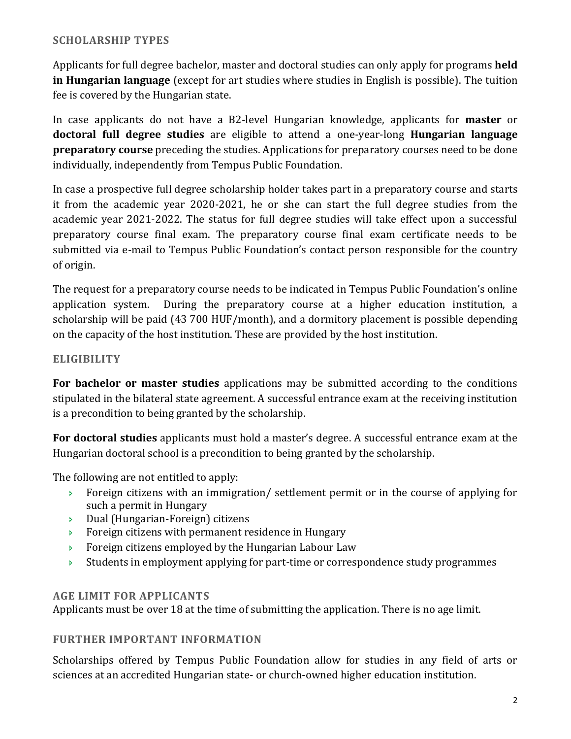## **SCHOLARSHIP TYPES**

Applicants for full degree bachelor, master and doctoral studies can only apply for programs **held in Hungarian language** (except for art studies where studies in English is possible). The tuition fee is covered by the Hungarian state.

In case applicants do not have a B2-level Hungarian knowledge, applicants for **master** or **doctoral full degree studies** are eligible to attend a one-year-long **Hungarian language preparatory course** preceding the studies. Applications for preparatory courses need to be done individually, independently from Tempus Public Foundation.

In case a prospective full degree scholarship holder takes part in a preparatory course and starts it from the academic year 2020-2021, he or she can start the full degree studies from the academic year 2021-2022. The status for full degree studies will take effect upon a successful preparatory course final exam. The preparatory course final exam certificate needs to be submitted via e-mail to Tempus Public Foundation's contact person responsible for the country of origin.

The request for a preparatory course needs to be indicated in Tempus Public Foundation's online application system. During the preparatory course at a higher education institution, a scholarship will be paid (43 700 HUF/month), and a dormitory placement is possible depending on the capacity of the host institution. These are provided by the host institution.

## **ELIGIBILITY**

**For bachelor or master studies** applications may be submitted according to the conditions stipulated in the bilateral state agreement. A successful entrance exam at the receiving institution is a precondition to being granted by the scholarship.

**For doctoral studies** applicants must hold a master's degree. A successful entrance exam at the Hungarian doctoral school is a precondition to being granted by the scholarship.

The following are not entitled to apply:

- Foreign citizens with an immigration/ settlement permit or in the course of applying for such a permit in Hungary
- Dual (Hungarian-Foreign) citizens
- **Foreign citizens with permanent residence in Hungary**
- **Foreign citizens employed by the Hungarian Labour Law**
- Students in employment applying for part-time or correspondence study programmes

#### **AGE LIMIT FOR APPLICANTS**

Applicants must be over 18 at the time of submitting the application. There is no age limit.

#### **FURTHER IMPORTANT INFORMATION**

Scholarships offered by Tempus Public Foundation allow for studies in any field of arts or sciences at an accredited Hungarian state- or church-owned higher education institution.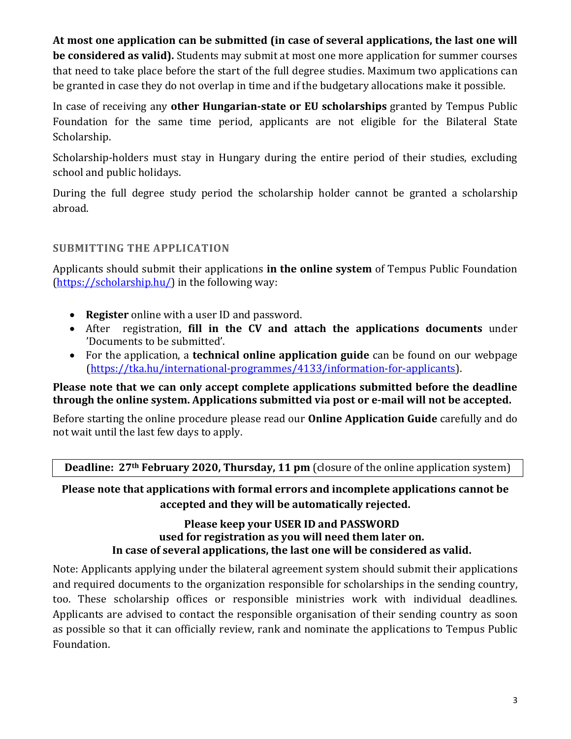**At most one application can be submitted (in case of several applications, the last one will be considered as valid).** Students may submit at most one more application for summer courses that need to take place before the start of the full degree studies. Maximum two applications can be granted in case they do not overlap in time and if the budgetary allocations make it possible.

In case of receiving any **other Hungarian-state or EU scholarships** granted by Tempus Public Foundation for the same time period, applicants are not eligible for the Bilateral State Scholarship.

Scholarship-holders must stay in Hungary during the entire period of their studies, excluding school and public holidays.

During the full degree study period the scholarship holder cannot be granted a scholarship abroad.

## **SUBMITTING THE APPLICATION**

Applicants should submit their applications **in the online system** of Tempus Public Foundation [\(https://scholarship.hu/\)](https://scholarship.hu/) in the following way:

- **Register** online with a user ID and password.
- After registration, **fill in the CV and attach the applications documents** under 'Documents to be submitted'.
- For the application, a **technical online application guide** can be found on our webpage [\(https://tka.hu/international-programmes/4133/information-for-applicants\)](https://tka.hu/international-programmes/4133/information-for-applicants).

## **Please note that we can only accept complete applications submitted before the deadline through the online system. Applications submitted via post or e-mail will not be accepted.**

Before starting the online procedure please read our **Online Application Guide** carefully and do not wait until the last few days to apply.

**Deadline: 27th February 2020, Thursday, 11 pm** (closure of the online application system)

## **Please note that applications with formal errors and incomplete applications cannot be accepted and they will be automatically rejected.**

## **Please keep your USER ID and PASSWORD used for registration as you will need them later on. In case of several applications, the last one will be considered as valid.**

Note: Applicants applying under the bilateral agreement system should submit their applications and required documents to the organization responsible for scholarships in the sending country, too. These scholarship offices or responsible ministries work with individual deadlines. Applicants are advised to contact the responsible organisation of their sending country as soon as possible so that it can officially review, rank and nominate the applications to Tempus Public Foundation.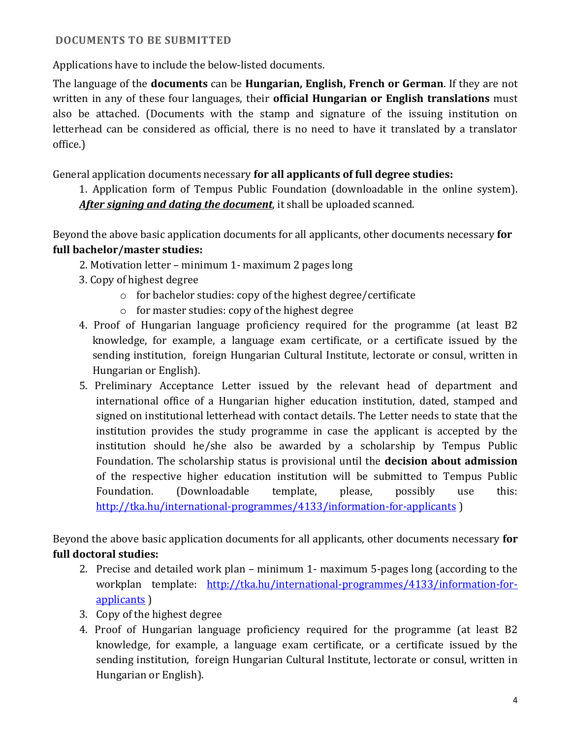## **DOCUMENTS TO BE SUBMITTED**

Applications have to include the below-listed documents.

The language of the **documents** can be **Hungarian, English, French or German**. If they are not written in any of these four languages, their **official Hungarian or English translations** must also be attached. (Documents with the stamp and signature of the issuing institution on letterhead can be considered as official, there is no need to have it translated by a translator office.)

General application documents necessary **for all applicants of full degree studies:**

1. Application form of Tempus Public Foundation (downloadable in the online system). *After signing and dating the document*, it shall be uploaded scanned.

Beyond the above basic application documents for all applicants, other documents necessary **for full bachelor/master studies:**

- 2. Motivation letter minimum 1- maximum 2 pages long
- 3. Copy of highest degree
	- o for bachelor studies: copy of the highest degree/certificate
	- o for master studies: copy of the highest degree
- 4. Proof of Hungarian language proficiency required for the programme (at least B2 knowledge, for example, a language exam certificate, or a certificate issued by the sending institution, foreign Hungarian Cultural Institute, lectorate or consul, written in Hungarian or English).
- 5. Preliminary Acceptance Letter issued by the relevant head of department and international office of a Hungarian higher education institution, dated, stamped and signed on institutional letterhead with contact details. The Letter needs to state that the institution provides the study programme in case the applicant is accepted by the institution should he/she also be awarded by a scholarship by Tempus Public Foundation. The scholarship status is provisional until the **decision about admission**  of the respective higher education institution will be submitted to Tempus Public Foundation. (Downloadable template, please, possibly use this: <http://tka.hu/international-programmes/4133/information-for-applicants> )

Beyond the above basic application documents for all applicants, other documents necessary **for full doctoral studies:**

- 2. Precise and detailed work plan minimum 1- maximum 5-pages long (according to the workplan template: [http://tka.hu/international-programmes/4133/information-for](http://tka.hu/international-programmes/4133/information-for-applicants)[applicants](http://tka.hu/international-programmes/4133/information-for-applicants) )
- 3. Copy of the highest degree
- 4. Proof of Hungarian language proficiency required for the programme (at least B2 knowledge, for example, a language exam certificate, or a certificate issued by the sending institution, foreign Hungarian Cultural Institute, lectorate or consul, written in Hungarian or English).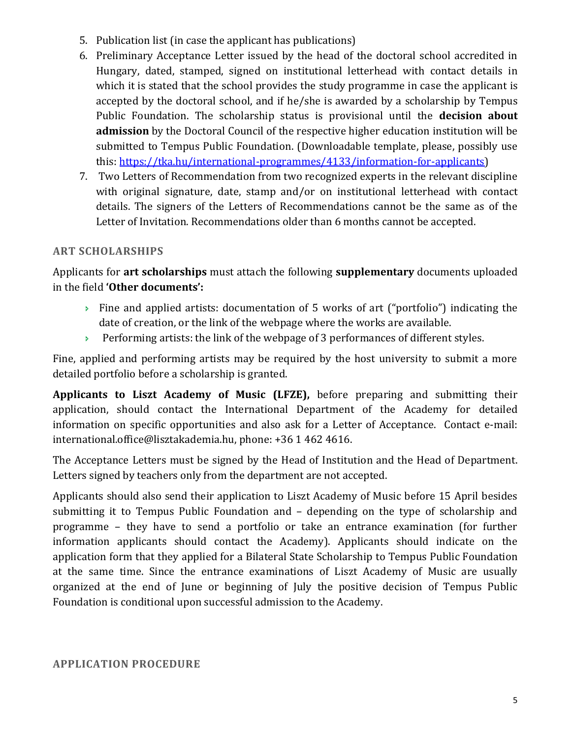- 5. Publication list (in case the applicant has publications)
- 6. Preliminary Acceptance Letter issued by the head of the doctoral school accredited in Hungary, dated, stamped, signed on institutional letterhead with contact details in which it is stated that the school provides the study programme in case the applicant is accepted by the doctoral school, and if he/she is awarded by a scholarship by Tempus Public Foundation. The scholarship status is provisional until the **decision about admission** by the Doctoral Council of the respective higher education institution will be submitted to Tempus Public Foundation. (Downloadable template, please, possibly use this: [https://tka.hu/international-programmes/4133/information-for-applicants\)](https://tka.hu/international-programmes/4133/information-for-applicants)
- 7. Two Letters of Recommendation from two recognized experts in the relevant discipline with original signature, date, stamp and/or on institutional letterhead with contact details. The signers of the Letters of Recommendations cannot be the same as of the Letter of Invitation. Recommendations older than 6 months cannot be accepted.

## **ART SCHOLARSHIPS**

Applicants for **art scholarships** must attach the following **supplementary** documents uploaded in the field **'Other documents':** 

- Fine and applied artists: documentation of 5 works of art ("portfolio") indicating the date of creation, or the link of the webpage where the works are available.
- Performing artists: the link of the webpage of 3 performances of different styles.

Fine, applied and performing artists may be required by the host university to submit a more detailed portfolio before a scholarship is granted.

**Applicants to Liszt Academy of Music (LFZE),** before preparing and submitting their application, should contact the International Department of the Academy for detailed information on specific opportunities and also ask for a Letter of Acceptance. Contact e-mail: [international.office@lisztakademia.hu,](mailto:international.office@lisztakademia.hu) phone: +36 1 462 4616.

The Acceptance Letters must be signed by the Head of Institution and the Head of Department. Letters signed by teachers only from the department are not accepted.

Applicants should also send their application to Liszt Academy of Music before 15 April besides submitting it to Tempus Public Foundation and – depending on the type of scholarship and programme – they have to send a portfolio or take an entrance examination (for further information applicants should contact the Academy). Applicants should indicate on the application form that they applied for a Bilateral State Scholarship to Tempus Public Foundation at the same time. Since the entrance examinations of Liszt Academy of Music are usually organized at the end of June or beginning of July the positive decision of Tempus Public Foundation is conditional upon successful admission to the Academy.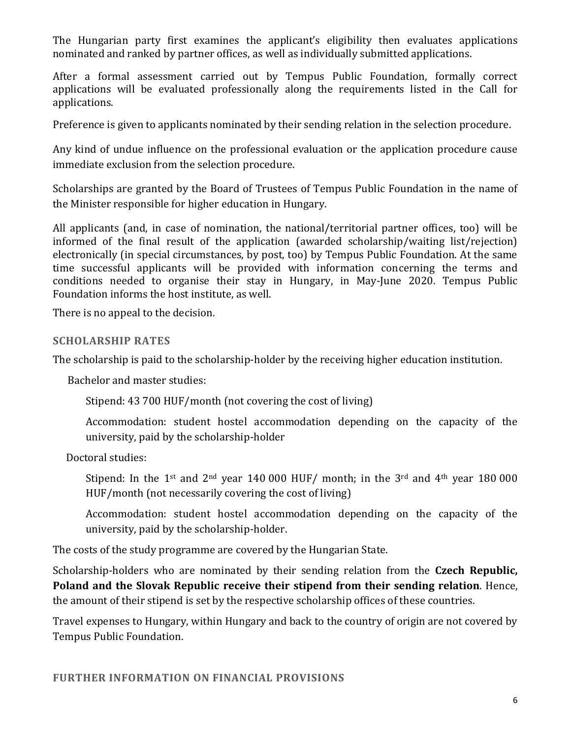The Hungarian party first examines the applicant's eligibility then evaluates applications nominated and ranked by partner offices, as well as individually submitted applications.

After a formal assessment carried out by Tempus Public Foundation, formally correct applications will be evaluated professionally along the requirements listed in the Call for applications.

Preference is given to applicants nominated by their sending relation in the selection procedure.

Any kind of undue influence on the professional evaluation or the application procedure cause immediate exclusion from the selection procedure.

Scholarships are granted by the Board of Trustees of Tempus Public Foundation in the name of the Minister responsible for higher education in Hungary.

All applicants (and, in case of nomination, the national/territorial partner offices, too) will be informed of the final result of the application (awarded scholarship/waiting list/rejection) electronically (in special circumstances, by post, too) by Tempus Public Foundation. At the same time successful applicants will be provided with information concerning the terms and conditions needed to organise their stay in Hungary, in May-June 2020. Tempus Public Foundation informs the host institute, as well.

There is no appeal to the decision.

#### **SCHOLARSHIP RATES**

The scholarship is paid to the scholarship-holder by the receiving higher education institution.

Bachelor and master studies:

Stipend: 43 700 HUF/month (not covering the cost of living)

Accommodation: student hostel accommodation depending on the capacity of the university, paid by the scholarship-holder

Doctoral studies:

Stipend: In the 1<sup>st</sup> and 2<sup>nd</sup> year 140 000 HUF/ month; in the 3<sup>rd</sup> and 4<sup>th</sup> year 180 000 HUF/month (not necessarily covering the cost of living)

Accommodation: student hostel accommodation depending on the capacity of the university, paid by the scholarship-holder.

The costs of the study programme are covered by the Hungarian State.

Scholarship-holders who are nominated by their sending relation from the **Czech Republic, Poland and the Slovak Republic receive their stipend from their sending relation**. Hence, the amount of their stipend is set by the respective scholarship offices of these countries.

Travel expenses to Hungary, within Hungary and back to the country of origin are not covered by Tempus Public Foundation.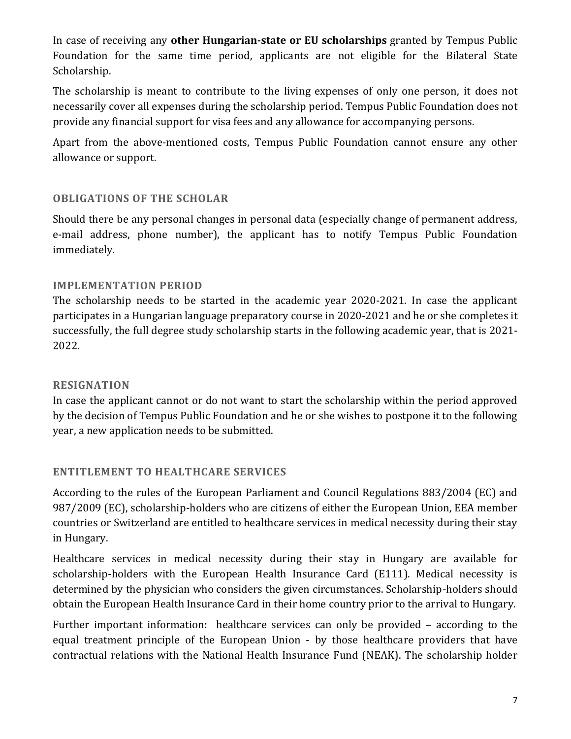In case of receiving any **other Hungarian-state or EU scholarships** granted by Tempus Public Foundation for the same time period, applicants are not eligible for the Bilateral State Scholarship.

The scholarship is meant to contribute to the living expenses of only one person, it does not necessarily cover all expenses during the scholarship period. Tempus Public Foundation does not provide any financial support for visa fees and any allowance for accompanying persons.

Apart from the above-mentioned costs, Tempus Public Foundation cannot ensure any other allowance or support.

#### **OBLIGATIONS OF THE SCHOLAR**

Should there be any personal changes in personal data (especially change of permanent address, e-mail address, phone number), the applicant has to notify Tempus Public Foundation immediately.

#### **IMPLEMENTATION PERIOD**

The scholarship needs to be started in the academic year 2020-2021. In case the applicant participates in a Hungarian language preparatory course in 2020-2021 and he or she completes it successfully, the full degree study scholarship starts in the following academic year, that is 2021- 2022.

#### **RESIGNATION**

In case the applicant cannot or do not want to start the scholarship within the period approved by the decision of Tempus Public Foundation and he or she wishes to postpone it to the following year, a new application needs to be submitted.

## **ENTITLEMENT TO HEALTHCARE SERVICES**

According to the rules of the European Parliament and Council Regulations 883/2004 (EC) and 987/2009 (EC), scholarship-holders who are citizens of either the European Union, EEA member countries or Switzerland are entitled to healthcare services in medical necessity during their stay in Hungary.

Healthcare services in medical necessity during their stay in Hungary are available for scholarship-holders with the European Health Insurance Card (E111). Medical necessity is determined by the physician who considers the given circumstances. Scholarship-holders should obtain the European Health Insurance Card in their home country prior to the arrival to Hungary.

Further important information: healthcare services can only be provided – according to the equal treatment principle of the European Union - by those healthcare providers that have contractual relations with the National Health Insurance Fund (NEAK). The scholarship holder